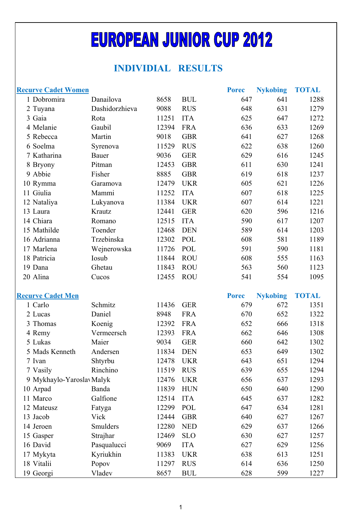## **EUROPEAN JUNIOR CUP 2012**

## **INDIVIDIAL RESULTS**

| <b>Recurve Cadet Women</b> |                    |                |                          | <b>Porec</b> | <b>Nykobing</b> | <b>TOTAL</b> |
|----------------------------|--------------------|----------------|--------------------------|--------------|-----------------|--------------|
| 1 Dobromira                | Danailova          | 8658           | <b>BUL</b>               | 647          | 641             | 1288         |
| 2 Tuyana                   | Dashidorzhieva     | 9088           | <b>RUS</b>               | 648          | 631             | 1279         |
| 3 Gaia                     | Rota               | 11251          | <b>ITA</b>               | 625          | 647             | 1272         |
| 4 Melanie                  | Gaubil             | 12394          | <b>FRA</b>               | 636          | 633             | 1269         |
| 5 Rebecca                  | Martin             | 9018           | <b>GBR</b>               | 641          | 627             | 1268         |
| 6 Soelma                   | Syrenova           | 11529          | <b>RUS</b>               | 622          | 638             | 1260         |
| 7 Katharina                | Bauer              | 9036           | <b>GER</b>               | 629          | 616             | 1245         |
| 8 Bryony                   | Pitman             | 12453          | <b>GBR</b>               | 611          | 630             | 1241         |
| 9 Abbie                    | Fisher             | 8885           | <b>GBR</b>               | 619          | 618             | 1237         |
| 10 Rymma                   | Garamova           | 12479          | <b>UKR</b>               | 605          | 621             | 1226         |
| 11 Giulia                  | Mammi              | 11252          | <b>ITA</b>               | 607          | 618             | 1225         |
| 12 Nataliya                | Lukyanova          | 11384          | <b>UKR</b>               | 607          | 614             | 1221         |
| 13 Laura                   | Krautz             | 12441          | <b>GER</b>               | 620          | 596             | 1216         |
| 14 Chiara                  | Romano             | 12515          | <b>ITA</b>               | 590          | 617             | 1207         |
| 15 Mathilde                | Toender            | 12468          | <b>DEN</b>               | 589          | 614             | 1203         |
| 16 Adrianna                | Trzebinska         | 12302          | POL                      | 608          | 581             | 1189         |
| 17 Marlena                 | Wejnerowska        | 11726          | <b>POL</b>               | 591          | 590             | 1181         |
| 18 Patricia                | Iosub              | 11844          | <b>ROU</b>               | 608          | 555             | 1163         |
| 19 Dana                    | Ghetau             | 11843          | <b>ROU</b>               | 563          | 560             | 1123         |
| 20 Alina                   | Cucos              | 12455          | <b>ROU</b>               | 541          | 554             | 1095         |
|                            |                    |                |                          |              |                 |              |
|                            |                    |                |                          |              |                 |              |
| <b>Recurve Cadet Men</b>   |                    |                |                          | <b>Porec</b> | <b>Nykobing</b> | <b>TOTAL</b> |
| 1 Carlo                    | Schmitz            | 11436          | <b>GER</b>               | 679          | 672             | 1351         |
| 2 Lucas                    | Daniel             | 8948           | <b>FRA</b>               | 670          | 652             | 1322         |
| 3 Thomas                   | Koenig             | 12392          | <b>FRA</b>               | 652          | 666             | 1318         |
| 4 Remy                     | Vermeersch         | 12393          | <b>FRA</b>               | 662          | 646             | 1308         |
| 5 Lukas                    | Maier              | 9034           | <b>GER</b>               | 660          | 642             | 1302         |
| 5 Mads Kenneth             | Andersen           | 11834          | <b>DEN</b>               | 653          | 649             | 1302         |
| 7 Ivan                     | Shtyrbu            | 12478          | <b>UKR</b>               | 643          | 651             | 1294         |
| 7 Vasily                   | Rinchino           | 11519          | <b>RUS</b>               | 639          | 655             | 1294         |
| 9 Mykhaylo-Yaroslav Malyk  |                    | 12476          | <b>UKR</b>               | 656          | 637             | 1293         |
| 10 Arpad                   | Banda              | 11839          | <b>HUN</b>               | 650          | 640             | 1290         |
| 11 Marco                   | Galfione           | 12514          | <b>ITA</b>               | 645          | 637             | 1282         |
| 12 Mateusz                 | Fatyga             | 12299          | POL                      | 647          | 634             | 1281         |
| 13 Jacob                   | Vick               | 12444          | <b>GBR</b>               | 640          | 627             | 1267         |
| 14 Jeroen                  | Smulders           | 12280<br>12469 | <b>NED</b>               | 629          | 637<br>627      | 1266         |
| 15 Gasper                  | Strajhar           | 9069           | <b>SLO</b>               | 630          |                 | 1257         |
| 16 David                   | Pasqualucci        |                | <b>ITA</b>               | 627          | 629             | 1256         |
| 17 Mykyta<br>18 Vitalii    | Kyriukhin<br>Popov | 11383<br>11297 | <b>UKR</b><br><b>RUS</b> | 638<br>614   | 613<br>636      | 1251<br>1250 |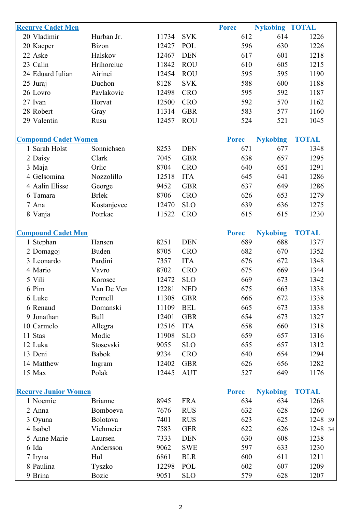| <b>Recurve Cadet Men</b><br>20 Vladimir | Hurban Jr.     | 11734          | <b>SVK</b> | <b>Porec</b><br>612 | <b>Nykobing TOTAL</b><br>614 | 1226         |
|-----------------------------------------|----------------|----------------|------------|---------------------|------------------------------|--------------|
|                                         | <b>Bizon</b>   |                | POL        | 596                 | 630                          | 1226         |
| 20 Kacper                               |                | 12427<br>12467 |            |                     |                              |              |
| 22 Aske                                 | Halskov        |                | <b>DEN</b> | 617                 | 601                          | 1218         |
| 23 Calin                                | Hrihorciuc     | 11842          | <b>ROU</b> | 610                 | 605                          | 1215         |
| 24 Eduard Iulian                        | Airinei        | 12454          | <b>ROU</b> | 595                 | 595                          | 1190         |
| 25 Juraj                                | Duchon         | 8128           | <b>SVK</b> | 588                 | 600                          | 1188         |
| 26 Lovro                                | Pavlakovic     | 12498          | <b>CRO</b> | 595                 | 592                          | 1187         |
| 27 Ivan                                 | Horvat         | 12500          | <b>CRO</b> | 592                 | 570                          | 1162         |
| 28 Robert                               | Gray           | 11314          | <b>GBR</b> | 583                 | 577                          | 1160         |
| 29 Valentin                             | Rusu           | 12457          | <b>ROU</b> | 524                 | 521                          | 1045         |
| <b>Compound Cadet Women</b>             |                |                |            | <b>Porec</b>        | <b>Nykobing</b>              | <b>TOTAL</b> |
| 1 Sarah Holst                           | Sonnichsen     | 8253           | <b>DEN</b> | 671                 | 677                          | 1348         |
| 2 Daisy                                 | Clark          | 7045           | <b>GBR</b> | 638                 | 657                          | 1295         |
| 3 Maja                                  | Orlic          | 8704           | <b>CRO</b> | 640                 | 651                          | 1291         |
| 4 Gelsomina                             | Nozzolillo     | 12518          | <b>ITA</b> | 645                 | 641                          | 1286         |
| 4 Aalin Elisse                          | George         | 9452           | <b>GBR</b> | 637                 | 649                          | 1286         |
| 6 Tamara                                | <b>Brlek</b>   | 8706           | <b>CRO</b> | 626                 | 653                          | 1279         |
| 7 Ana                                   | Kostanjevec    | 12470          | <b>SLO</b> | 639                 | 636                          | 1275         |
| 8 Vanja                                 | Potrkac        | 11522          | <b>CRO</b> | 615                 | 615                          | 1230         |
|                                         |                |                |            |                     |                              |              |
| <b>Compound Cadet Men</b>               |                |                |            | <b>Porec</b>        | <b>Nykobing</b>              | <b>TOTAL</b> |
| 1 Stephan                               | Hansen         | 8251           | <b>DEN</b> | 689                 | 688                          | 1377         |
| 2 Domagoj                               | Buden          | 8705           | <b>CRO</b> | 682                 | 670                          | 1352         |
| 3 Leonardo                              | Pardini        | 7357           | <b>ITA</b> | 676                 | 672                          | 1348         |
| 4 Mario                                 | Vavro          | 8702           | <b>CRO</b> | 675                 | 669                          | 1344         |
| 5 Vili                                  | Korosec        | 12472          | <b>SLO</b> | 669                 | 673                          | 1342         |
| 6 Pim                                   | Van De Ven     | 12281          | <b>NED</b> | 675                 | 663                          | 1338         |
| 6 Luke                                  | Pennell        | 11308          | <b>GBR</b> | 666                 | 672                          | 1338         |
| 6 Renaud                                | Domanski       | 11109          | <b>BEL</b> | 665                 | 673                          | 1338         |
| 9 Jonathan                              | <b>Bull</b>    | 12401          | <b>GBR</b> | 654                 | 673                          | 1327         |
| 10 Carmelo                              | Allegra        | 12516          | <b>ITA</b> | 658                 | 660                          | 1318         |
| 11 Stas                                 | Modic          | 11908          | <b>SLO</b> | 659                 | 657                          | 1316         |
| 12 Luka                                 | Stosevski      | 9055           | <b>SLO</b> | 655                 | 657                          | 1312         |
| 13 Deni                                 | <b>Babok</b>   | 9234           | <b>CRO</b> | 640                 | 654                          | 1294         |
| 14 Matthew                              | Ingram         | 12402          | <b>GBR</b> | 626                 | 656                          | 1282         |
| 15 Max                                  | Polak          | 12445          | <b>AUT</b> | 527                 | 649                          | 1176         |
| <b>Recurve Junior Women</b>             |                |                |            | <b>Porec</b>        | <b>Nykobing</b>              | <b>TOTAL</b> |
| 1 Noemie                                | <b>Brianne</b> | 8945           | <b>FRA</b> | 634                 | 634                          | 1268         |
| 2 Anna                                  | Bomboeva       | 7676           | <b>RUS</b> | 632                 | 628                          | 1260         |
| 3 Oyuna                                 | Bolotova       | 7401           | <b>RUS</b> | 623                 | 625                          | 1248 39      |
| 4 Isabel                                | Viehmeier      | 7583           | <b>GER</b> | 622                 | 626                          | 1248 34      |
| 5 Anne Marie                            | Laursen        | 7333           | <b>DEN</b> | 630                 | 608                          | 1238         |
| 6 Ida                                   | Andersson      | 9062           | <b>SWE</b> | 597                 | 633                          | 1230         |
| 7 Iryna                                 | Hul            | 6861           | <b>BLR</b> | 600                 | 611                          | 1211         |
| 8 Paulina                               | Tyszko         | 12298          | POL        | 602                 | 607                          | 1209         |
| 9 Brina                                 | <b>Bozic</b>   | 9051           | <b>SLO</b> | 579                 | 628                          | 1207         |
|                                         |                |                |            |                     |                              |              |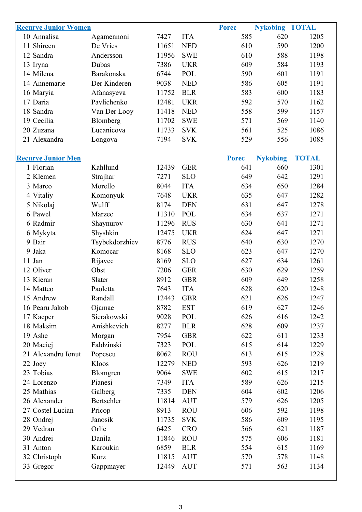| <b>Recurve Junior Women</b> |                |       |            | <b>Porec</b> | <b>Nykobing TOTAL</b> |              |
|-----------------------------|----------------|-------|------------|--------------|-----------------------|--------------|
| 10 Annalisa                 | Agamennoni     | 7427  | <b>ITA</b> | 585          | 620                   | 1205         |
| 11 Shireen                  | De Vries       | 11651 | <b>NED</b> | 610          | 590                   | 1200         |
| 12 Sandra                   | Andersson      | 11956 | <b>SWE</b> | 610          | 588                   | 1198         |
| 13 Iryna                    | Dubas          | 7386  | <b>UKR</b> | 609          | 584                   | 1193         |
| 14 Milena                   | Barakonska     | 6744  | <b>POL</b> | 590          | 601                   | 1191         |
| 14 Annemarie                | Der Kinderen   | 9038  | <b>NED</b> | 586          | 605                   | 1191         |
| 16 Maryia                   | Afanasyeva     | 11752 | <b>BLR</b> | 583          | 600                   | 1183         |
| 17 Daria                    | Pavlichenko    | 12481 | <b>UKR</b> | 592          | 570                   | 1162         |
| 18 Sandra                   | Van Der Looy   | 11418 | <b>NED</b> | 558          | 599                   | 1157         |
| 19 Cecilia                  | Blomberg       | 11702 | <b>SWE</b> | 571          | 569                   | 1140         |
| 20 Zuzana                   | Lucanicova     | 11733 | <b>SVK</b> | 561          | 525                   | 1086         |
| 21 Alexandra                | Longova        | 7194  | <b>SVK</b> | 529          | 556                   | 1085         |
|                             |                |       |            |              |                       |              |
| <b>Recurve Junior Men</b>   |                |       |            | <b>Porec</b> | <b>Nykobing</b>       | <b>TOTAL</b> |
| 1 Florian                   | Kahllund       | 12439 | <b>GER</b> | 641          | 660                   | 1301         |
| 2 Klemen                    | Strajhar       | 7271  | <b>SLO</b> | 649          | 642                   | 1291         |
| 3 Marco                     | Morello        | 8044  | <b>ITA</b> | 634          | 650                   | 1284         |
| 4 Vitaliy                   | Komonyuk       | 7648  | <b>UKR</b> | 635          | 647                   | 1282         |
| 5 Nikolaj                   | Wulff          | 8174  | <b>DEN</b> | 631          | 647                   | 1278         |
| 6 Pawel                     | Marzec         | 11310 | POL        | 634          | 637                   | 1271         |
| 6 Radmir                    | Shaynurov      | 11296 | <b>RUS</b> | 630          | 641                   | 1271         |
| 6 Mykyta                    | Shyshkin       | 12475 | <b>UKR</b> | 624          | 647                   | 1271         |
| 9 Bair                      | Tsybekdorzhiev | 8776  | <b>RUS</b> | 640          | 630                   | 1270         |
| 9 Jaka                      | Komocar        | 8168  | <b>SLO</b> | 623          | 647                   | 1270         |
| 11 Jan                      | Rijavec        | 8169  | <b>SLO</b> | 627          | 634                   | 1261         |
| 12 Oliver                   | Obst           | 7206  | <b>GER</b> | 630          | 629                   | 1259         |
| 13 Kieran                   | Slater         | 8912  | <b>GBR</b> | 609          | 649                   | 1258         |
| 14 Matteo                   | Paoletta       | 7643  | <b>ITA</b> | 628          | 620                   | 1248         |
| 15 Andrew                   | Randall        | 12443 | <b>GBR</b> | 621          | 626                   | 1247         |
| 16 Pearu Jakob              | Ojamae         | 8782  | <b>EST</b> | 619          | 627                   | 1246         |
| 17 Kacper                   | Sierakowski    | 9028  | POL        | 626          | 616                   | 1242         |
| 18 Maksim                   | Anishkevich    | 8277  | <b>BLR</b> | 628          | 609                   | 1237         |
| 19 Ashe                     | Morgan         | 7954  | <b>GBR</b> | 622          | 611                   | 1233         |
| 20 Maciej                   | Faldzinski     | 7323  | POL        | 615          | 614                   | 1229         |
| 21 Alexandru Ionut          | Popescu        | 8062  | <b>ROU</b> | 613          | 615                   | 1228         |
| 22 Joey                     | Kloos          | 12279 | <b>NED</b> | 593          | 626                   | 1219         |
| 23 Tobias                   | Blomgren       | 9064  | <b>SWE</b> | 602          | 615                   | 1217         |
| 24 Lorenzo                  | Pianesi        | 7349  | <b>ITA</b> | 589          | 626                   | 1215         |
| 25 Mathias                  | Galberg        | 7335  | <b>DEN</b> | 604          | 602                   | 1206         |
| 26 Alexander                | Bertschler     | 11814 | <b>AUT</b> | 579          | 626                   | 1205         |
| 27 Costel Lucian            | Pricop         | 8913  | <b>ROU</b> | 606          | 592                   | 1198         |
| 28 Ondrej                   | Janosik        | 11735 | <b>SVK</b> | 586          | 609                   | 1195         |
| 29 Vedran                   | Orlic          | 6425  | <b>CRO</b> | 566          | 621                   | 1187         |
| 30 Andrei                   | Danila         | 11846 | <b>ROU</b> | 575          | 606                   | 1181         |
| 31 Anton                    | Karoukin       | 6859  | <b>BLR</b> | 554          | 615                   | 1169         |
| 32 Christoph                | Kurz           | 11815 | <b>AUT</b> | 570          | 578                   | 1148         |
| 33 Gregor                   | Gappmayer      | 12449 | <b>AUT</b> | 571          | 563                   | 1134         |